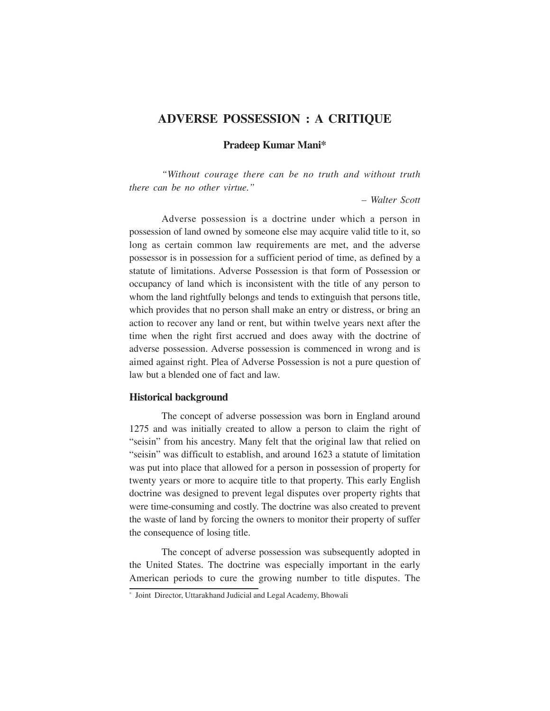## **ADVERSE POSSESSION : A CRITIQUE**

**Pradeep Kumar Mani\***

*"Without courage there can be no truth and without truth there can be no other virtue."*

*– Walter Scott*

Adverse possession is a doctrine under which a person in possession of land owned by someone else may acquire valid title to it, so long as certain common law requirements are met, and the adverse possessor is in possession for a sufficient period of time, as defined by a statute of limitations. Adverse Possession is that form of Possession or occupancy of land which is inconsistent with the title of any person to whom the land rightfully belongs and tends to extinguish that persons title, which provides that no person shall make an entry or distress, or bring an action to recover any land or rent, but within twelve years next after the time when the right first accrued and does away with the doctrine of adverse possession. Adverse possession is commenced in wrong and is aimed against right. Plea of Adverse Possession is not a pure question of law but a blended one of fact and law.

## **Historical background**

The concept of adverse possession was born in England around 1275 and was initially created to allow a person to claim the right of "seisin" from his ancestry. Many felt that the original law that relied on "seisin" was difficult to establish, and around 1623 a statute of limitation was put into place that allowed for a person in possession of property for twenty years or more to acquire title to that property. This early English doctrine was designed to prevent legal disputes over property rights that were time-consuming and costly. The doctrine was also created to prevent the waste of land by forcing the owners to monitor their property of suffer the consequence of losing title.

The concept of adverse possession was subsequently adopted in the United States. The doctrine was especially important in the early American periods to cure the growing number to title disputes. The

<sup>\*</sup> Joint Director, Uttarakhand Judicial and Legal Academy, Bhowali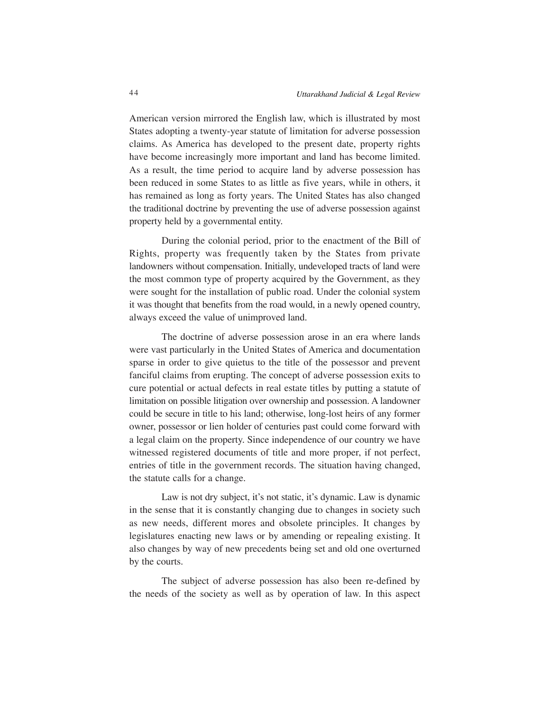American version mirrored the English law, which is illustrated by most States adopting a twenty-year statute of limitation for adverse possession claims. As America has developed to the present date, property rights have become increasingly more important and land has become limited. As a result, the time period to acquire land by adverse possession has been reduced in some States to as little as five years, while in others, it has remained as long as forty years. The United States has also changed the traditional doctrine by preventing the use of adverse possession against property held by a governmental entity.

During the colonial period, prior to the enactment of the Bill of Rights, property was frequently taken by the States from private landowners without compensation. Initially, undeveloped tracts of land were the most common type of property acquired by the Government, as they were sought for the installation of public road. Under the colonial system it was thought that benefits from the road would, in a newly opened country, always exceed the value of unimproved land.

The doctrine of adverse possession arose in an era where lands were vast particularly in the United States of America and documentation sparse in order to give quietus to the title of the possessor and prevent fanciful claims from erupting. The concept of adverse possession exits to cure potential or actual defects in real estate titles by putting a statute of limitation on possible litigation over ownership and possession. A landowner could be secure in title to his land; otherwise, long-lost heirs of any former owner, possessor or lien holder of centuries past could come forward with a legal claim on the property. Since independence of our country we have witnessed registered documents of title and more proper, if not perfect, entries of title in the government records. The situation having changed, the statute calls for a change.

Law is not dry subject, it's not static, it's dynamic. Law is dynamic in the sense that it is constantly changing due to changes in society such as new needs, different mores and obsolete principles. It changes by legislatures enacting new laws or by amending or repealing existing. It also changes by way of new precedents being set and old one overturned by the courts.

The subject of adverse possession has also been re-defined by the needs of the society as well as by operation of law. In this aspect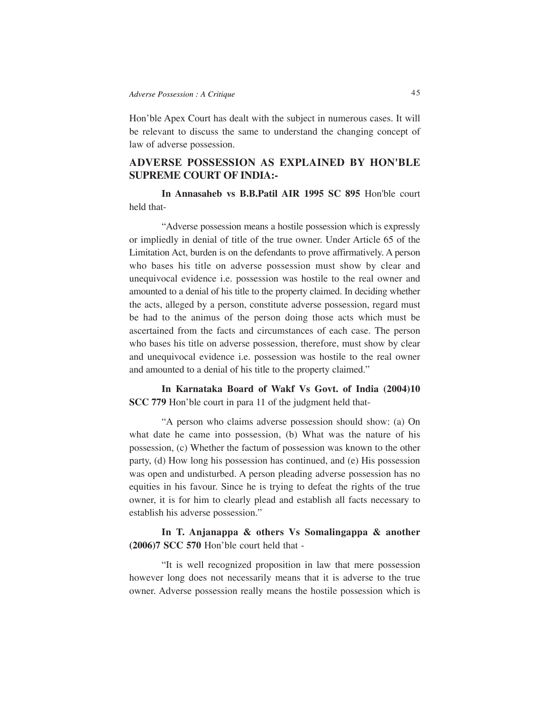Hon'ble Apex Court has dealt with the subject in numerous cases. It will be relevant to discuss the same to understand the changing concept of law of adverse possession.

## **ADVERSE POSSESSION AS EXPLAINED BY HON'BLE SUPREME COURT OF INDIA:-**

**In Annasaheb vs B.B.Patil AIR 1995 SC 895** Hon'ble court held that-

"Adverse possession means a hostile possession which is expressly or impliedly in denial of title of the true owner. Under Article 65 of the Limitation Act, burden is on the defendants to prove affirmatively. A person who bases his title on adverse possession must show by clear and unequivocal evidence i.e. possession was hostile to the real owner and amounted to a denial of his title to the property claimed. In deciding whether the acts, alleged by a person, constitute adverse possession, regard must be had to the animus of the person doing those acts which must be ascertained from the facts and circumstances of each case. The person who bases his title on adverse possession, therefore, must show by clear and unequivocal evidence i.e. possession was hostile to the real owner and amounted to a denial of his title to the property claimed."

**In Karnataka Board of Wakf Vs Govt. of India (2004)10 SCC 779** Hon'ble court in para 11 of the judgment held that-

"A person who claims adverse possession should show: (a) On what date he came into possession, (b) What was the nature of his possession, (c) Whether the factum of possession was known to the other party, (d) How long his possession has continued, and (e) His possession was open and undisturbed. A person pleading adverse possession has no equities in his favour. Since he is trying to defeat the rights of the true owner, it is for him to clearly plead and establish all facts necessary to establish his adverse possession."

**In T. Anjanappa & others Vs Somalingappa & another (2006)7 SCC 570** Hon'ble court held that -

"It is well recognized proposition in law that mere possession however long does not necessarily means that it is adverse to the true owner. Adverse possession really means the hostile possession which is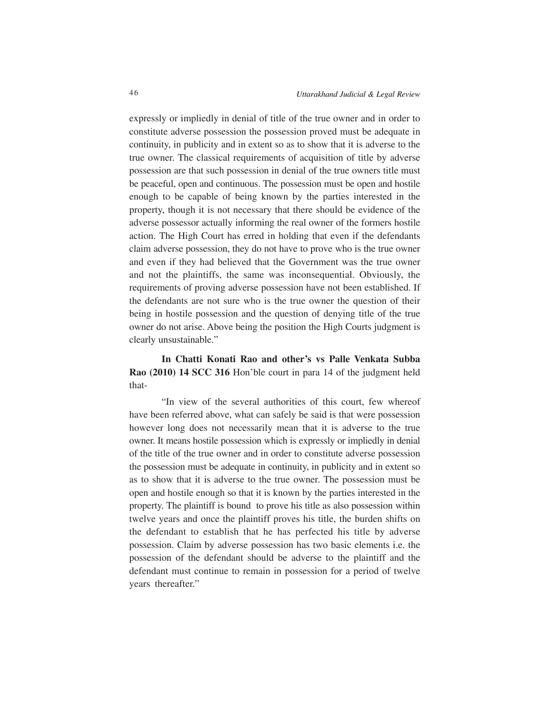expressly or impliedly in denial of title of the true owner and in order to constitute adverse possession the possession proved must be adequate in continuity, in publicity and in extent so as to show that it is adverse to the true owner. The classical requirements of acquisition of title by adverse possession are that such possession in denial of the true owners title must be peaceful, open and continuous. The possession must be open and hostile enough to be capable of being known by the parties interested in the property, though it is not necessary that there should be evidence of the adverse possessor actually informing the real owner of the formers hostile action. The High Court has erred in holding that even if the defendants claim adverse possession, they do not have to prove who is the true owner and even if they had believed that the Government was the true owner and not the plaintiffs, the same was inconsequential. Obviously, the requirements of proving adverse possession have not been established. If the defendants are not sure who is the true owner the question of their being in hostile possession and the question of denying title of the true owner do not arise. Above being the position the High Courts judgment is clearly unsustainable."

**In Chatti Konati Rao and other's vs Palle Venkata Subba Rao (2010) 14 SCC 316** Hon'ble court in para 14 of the judgment held that-

"In view of the several authorities of this court, few whereof have been referred above, what can safely be said is that were possession however long does not necessarily mean that it is adverse to the true owner. It means hostile possession which is expressly or impliedly in denial of the title of the true owner and in order to constitute adverse possession the possession must be adequate in continuity, in publicity and in extent so as to show that it is adverse to the true owner. The possession must be open and hostile enough so that it is known by the parties interested in the property. The plaintiff is bound to prove his title as also possession within twelve years and once the plaintiff proves his title, the burden shifts on the defendant to establish that he has perfected his title by adverse possession. Claim by adverse possession has two basic elements i.e. the possession of the defendant should be adverse to the plaintiff and the defendant must continue to remain in possession for a period of twelve years thereafter."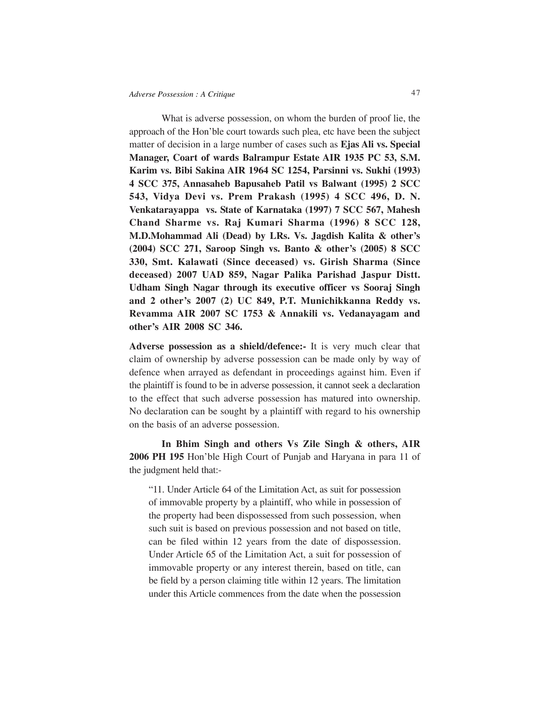What is adverse possession, on whom the burden of proof lie, the approach of the Hon'ble court towards such plea, etc have been the subject matter of decision in a large number of cases such as **Ejas Ali vs. Special Manager, Coart of wards Balrampur Estate AIR 1935 PC 53, S.M. Karim vs. Bibi Sakina AIR 1964 SC 1254, Parsinni vs. Sukhi (1993) 4 SCC 375, Annasaheb Bapusaheb Patil vs Balwant (1995) 2 SCC 543, Vidya Devi vs. Prem Prakash (1995) 4 SCC 496, D. N. Venkatarayappa vs. State of Karnataka (1997) 7 SCC 567, Mahesh Chand Sharme vs. Raj Kumari Sharma (1996) 8 SCC 128, M.D.Mohammad Ali (Dead) by LRs. Vs. Jagdish Kalita & other's (2004) SCC 271, Saroop Singh vs. Banto & other's (2005) 8 SCC 330, Smt. Kalawati (Since deceased) vs. Girish Sharma (Since deceased) 2007 UAD 859, Nagar Palika Parishad Jaspur Distt. Udham Singh Nagar through its executive officer vs Sooraj Singh and 2 other's 2007 (2) UC 849, P.T. Munichikkanna Reddy vs. Revamma AIR 2007 SC 1753 & Annakili vs. Vedanayagam and other's AIR 2008 SC 346.**

**Adverse possession as a shield/defence:-** It is very much clear that claim of ownership by adverse possession can be made only by way of defence when arrayed as defendant in proceedings against him. Even if the plaintiff is found to be in adverse possession, it cannot seek a declaration to the effect that such adverse possession has matured into ownership. No declaration can be sought by a plaintiff with regard to his ownership on the basis of an adverse possession.

**In Bhim Singh and others Vs Zile Singh & others, AIR 2006 PH 195** Hon'ble High Court of Punjab and Haryana in para 11 of the judgment held that:-

"11. Under Article 64 of the Limitation Act, as suit for possession of immovable property by a plaintiff, who while in possession of the property had been dispossessed from such possession, when such suit is based on previous possession and not based on title, can be filed within 12 years from the date of dispossession. Under Article 65 of the Limitation Act, a suit for possession of immovable property or any interest therein, based on title, can be field by a person claiming title within 12 years. The limitation under this Article commences from the date when the possession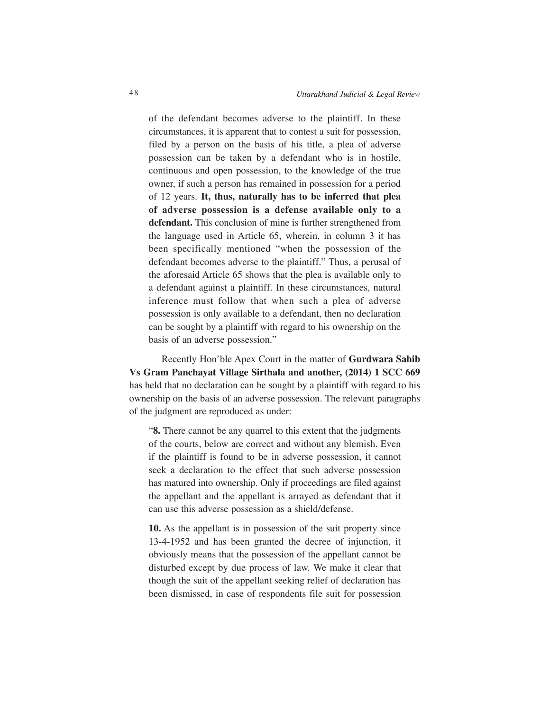of the defendant becomes adverse to the plaintiff. In these circumstances, it is apparent that to contest a suit for possession, filed by a person on the basis of his title, a plea of adverse possession can be taken by a defendant who is in hostile, continuous and open possession, to the knowledge of the true owner, if such a person has remained in possession for a period of 12 years. **It, thus, naturally has to be inferred that plea of adverse possession is a defense available only to a defendant.** This conclusion of mine is further strengthened from the language used in Article 65, wherein, in column 3 it has been specifically mentioned "when the possession of the defendant becomes adverse to the plaintiff." Thus, a perusal of the aforesaid Article 65 shows that the plea is available only to a defendant against a plaintiff. In these circumstances, natural inference must follow that when such a plea of adverse possession is only available to a defendant, then no declaration can be sought by a plaintiff with regard to his ownership on the basis of an adverse possession."

Recently Hon'ble Apex Court in the matter of **Gurdwara Sahib Vs Gram Panchayat Village Sirthala and another, (2014) 1 SCC 669** has held that no declaration can be sought by a plaintiff with regard to his ownership on the basis of an adverse possession. The relevant paragraphs of the judgment are reproduced as under:

"**8.** There cannot be any quarrel to this extent that the judgments of the courts, below are correct and without any blemish. Even if the plaintiff is found to be in adverse possession, it cannot seek a declaration to the effect that such adverse possession has matured into ownership. Only if proceedings are filed against the appellant and the appellant is arrayed as defendant that it can use this adverse possession as a shield/defense.

**10.** As the appellant is in possession of the suit property since 13-4-1952 and has been granted the decree of injunction, it obviously means that the possession of the appellant cannot be disturbed except by due process of law. We make it clear that though the suit of the appellant seeking relief of declaration has been dismissed, in case of respondents file suit for possession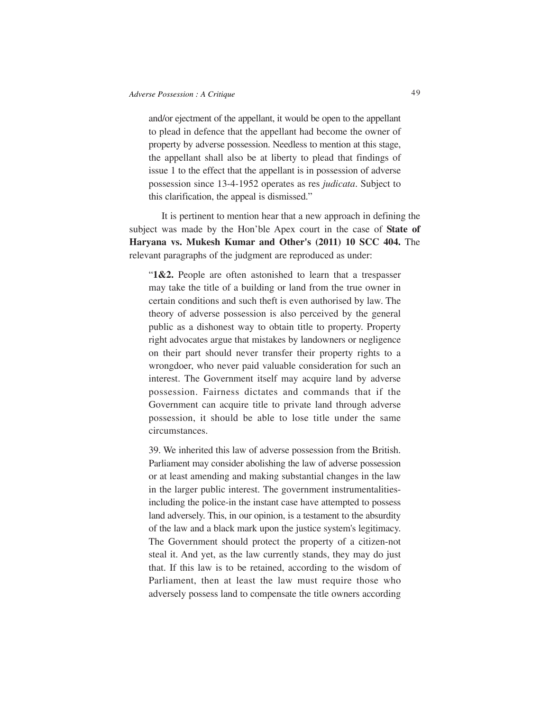and/or ejectment of the appellant, it would be open to the appellant to plead in defence that the appellant had become the owner of property by adverse possession. Needless to mention at this stage, the appellant shall also be at liberty to plead that findings of issue 1 to the effect that the appellant is in possession of adverse possession since 13-4-1952 operates as res *judicata*. Subject to this clarification, the appeal is dismissed."

It is pertinent to mention hear that a new approach in defining the subject was made by the Hon'ble Apex court in the case of **State of Haryana vs. Mukesh Kumar and Other's (2011) 10 SCC 404.** The relevant paragraphs of the judgment are reproduced as under:

"**1&2.** People are often astonished to learn that a trespasser may take the title of a building or land from the true owner in certain conditions and such theft is even authorised by law. The theory of adverse possession is also perceived by the general public as a dishonest way to obtain title to property. Property right advocates argue that mistakes by landowners or negligence on their part should never transfer their property rights to a wrongdoer, who never paid valuable consideration for such an interest. The Government itself may acquire land by adverse possession. Fairness dictates and commands that if the Government can acquire title to private land through adverse possession, it should be able to lose title under the same circumstances.

39. We inherited this law of adverse possession from the British. Parliament may consider abolishing the law of adverse possession or at least amending and making substantial changes in the law in the larger public interest. The government instrumentalitiesincluding the police-in the instant case have attempted to possess land adversely. This, in our opinion, is a testament to the absurdity of the law and a black mark upon the justice system's legitimacy. The Government should protect the property of a citizen-not steal it. And yet, as the law currently stands, they may do just that. If this law is to be retained, according to the wisdom of Parliament, then at least the law must require those who adversely possess land to compensate the title owners according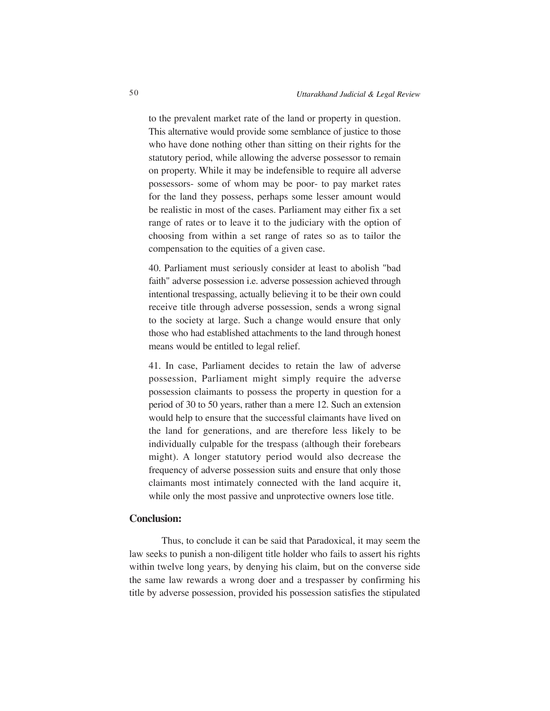to the prevalent market rate of the land or property in question. This alternative would provide some semblance of justice to those who have done nothing other than sitting on their rights for the statutory period, while allowing the adverse possessor to remain on property. While it may be indefensible to require all adverse possessors- some of whom may be poor- to pay market rates for the land they possess, perhaps some lesser amount would be realistic in most of the cases. Parliament may either fix a set range of rates or to leave it to the judiciary with the option of choosing from within a set range of rates so as to tailor the compensation to the equities of a given case.

40. Parliament must seriously consider at least to abolish "bad faith" adverse possession i.e. adverse possession achieved through intentional trespassing, actually believing it to be their own could receive title through adverse possession, sends a wrong signal to the society at large. Such a change would ensure that only those who had established attachments to the land through honest means would be entitled to legal relief.

41. In case, Parliament decides to retain the law of adverse possession, Parliament might simply require the adverse possession claimants to possess the property in question for a period of 30 to 50 years, rather than a mere 12. Such an extension would help to ensure that the successful claimants have lived on the land for generations, and are therefore less likely to be individually culpable for the trespass (although their forebears might). A longer statutory period would also decrease the frequency of adverse possession suits and ensure that only those claimants most intimately connected with the land acquire it, while only the most passive and unprotective owners lose title.

## **Conclusion:**

Thus, to conclude it can be said that Paradoxical, it may seem the law seeks to punish a non-diligent title holder who fails to assert his rights within twelve long years, by denying his claim, but on the converse side the same law rewards a wrong doer and a trespasser by confirming his title by adverse possession, provided his possession satisfies the stipulated